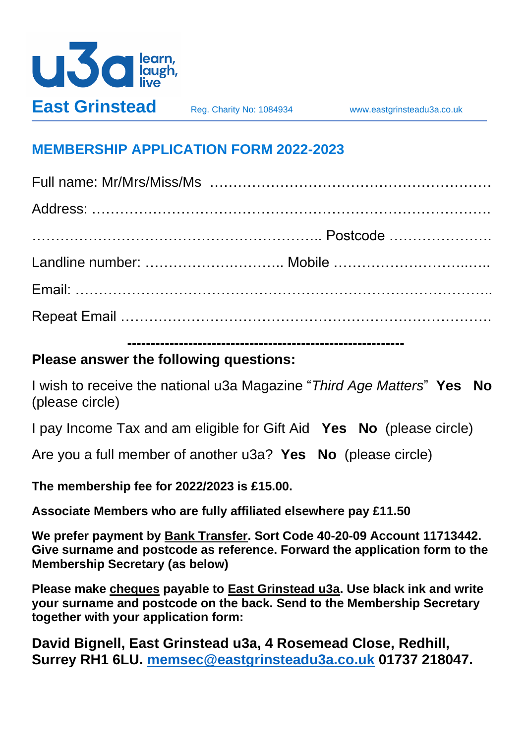

## **MEMBERSHIP APPLICATION FORM 2022-2023**

**-----------------------------------------------------------**

## **Please answer the following questions:**

I wish to receive the national u3a Magazine "*Third Age Matters*" **Yes No** (please circle)

I pay Income Tax and am eligible for Gift Aid **Yes No** (please circle)

Are you a full member of another u3a? **Yes No** (please circle)

**The membership fee for 2022/2023 is £15.00.** 

**Associate Members who are fully affiliated elsewhere pay £11.50**

**We prefer payment by Bank Transfer. Sort Code 40-20-09 Account 11713442. Give surname and postcode as reference. Forward the application form to the Membership Secretary (as below)**

**Please make cheques payable to East Grinstead u3a. Use black ink and write your surname and postcode on the back. Send to the Membership Secretary together with your application form:**

**David Bignell, East Grinstead u3a, 4 Rosemead Close, Redhill, Surrey RH1 6LU. [memsec@eastgrinsteadu3a.co.uk](mailto:memsec@eastgrinsteadu3a.co.uk) 01737 218047.**